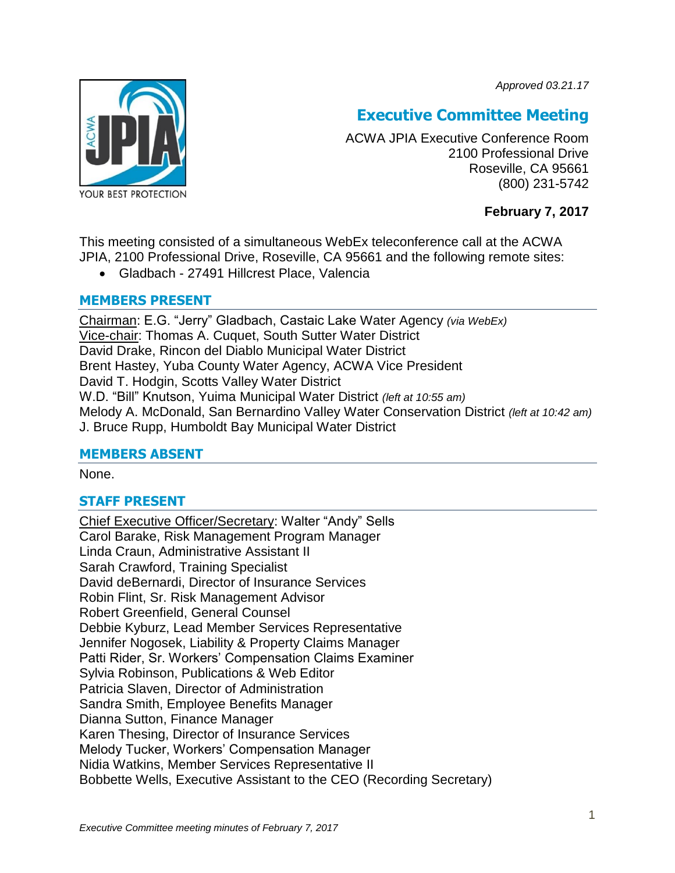*Approved 03.21.17*



# **Executive Committee Meeting**

ACWA JPIA Executive Conference Room 2100 Professional Drive Roseville, CA 95661 (800) 231-5742

# **February 7, 2017**

This meeting consisted of a simultaneous WebEx teleconference call at the ACWA JPIA, 2100 Professional Drive, Roseville, CA 95661 and the following remote sites:

Gladbach - 27491 Hillcrest Place, Valencia

## **MEMBERS PRESENT**

Chairman: E.G. "Jerry" Gladbach, Castaic Lake Water Agency *(via WebEx)* Vice-chair: Thomas A. Cuquet, South Sutter Water District David Drake, Rincon del Diablo Municipal Water District Brent Hastey, Yuba County Water Agency, ACWA Vice President David T. Hodgin, Scotts Valley Water District W.D. "Bill" Knutson, Yuima Municipal Water District *(left at 10:55 am)* Melody A. McDonald, San Bernardino Valley Water Conservation District *(left at 10:42 am)* J. Bruce Rupp, Humboldt Bay Municipal Water District

## **MEMBERS ABSENT**

None.

# **STAFF PRESENT**

Chief Executive Officer/Secretary: Walter "Andy" Sells Carol Barake, Risk Management Program Manager Linda Craun, Administrative Assistant II Sarah Crawford, Training Specialist David deBernardi, Director of Insurance Services Robin Flint, Sr. Risk Management Advisor Robert Greenfield, General Counsel Debbie Kyburz, Lead Member Services Representative Jennifer Nogosek, Liability & Property Claims Manager Patti Rider, Sr. Workers' Compensation Claims Examiner Sylvia Robinson, Publications & Web Editor Patricia Slaven, Director of Administration Sandra Smith, Employee Benefits Manager Dianna Sutton, Finance Manager Karen Thesing, Director of Insurance Services Melody Tucker, Workers' Compensation Manager Nidia Watkins, Member Services Representative II Bobbette Wells, Executive Assistant to the CEO (Recording Secretary)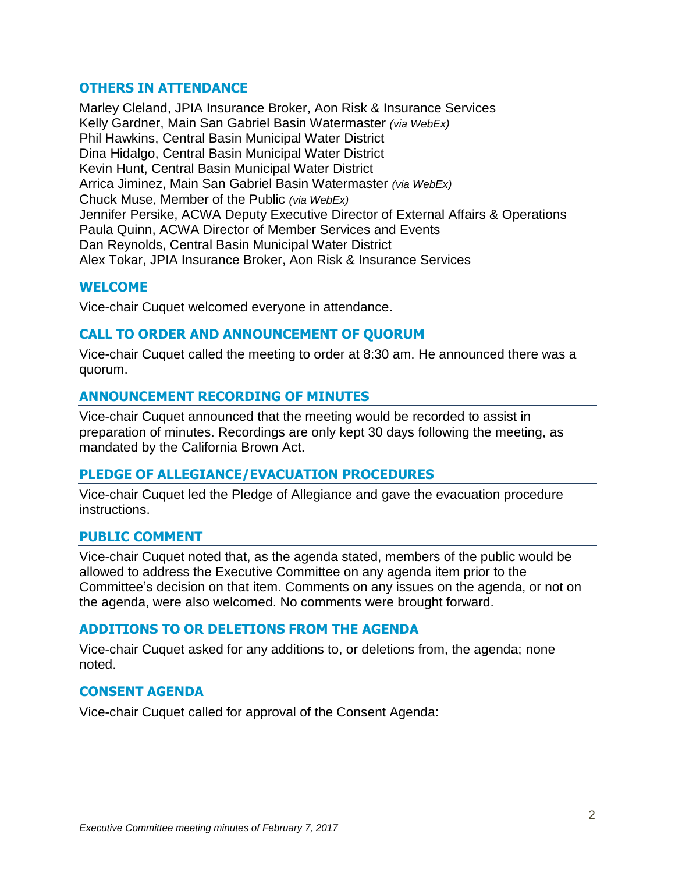## **OTHERS IN ATTENDANCE**

Marley Cleland, JPIA Insurance Broker, Aon Risk & Insurance Services Kelly Gardner, Main San Gabriel Basin Watermaster *(via WebEx)* Phil Hawkins, Central Basin Municipal Water District Dina Hidalgo, Central Basin Municipal Water District Kevin Hunt, Central Basin Municipal Water District Arrica Jiminez, Main San Gabriel Basin Watermaster *(via WebEx)* Chuck Muse, Member of the Public *(via WebEx)* Jennifer Persike, ACWA Deputy Executive Director of External Affairs & Operations Paula Quinn, ACWA Director of Member Services and Events Dan Reynolds, Central Basin Municipal Water District Alex Tokar, JPIA Insurance Broker, Aon Risk & Insurance Services

#### **WELCOME**

Vice-chair Cuquet welcomed everyone in attendance.

## **CALL TO ORDER AND ANNOUNCEMENT OF QUORUM**

Vice-chair Cuquet called the meeting to order at 8:30 am. He announced there was a quorum.

#### **ANNOUNCEMENT RECORDING OF MINUTES**

Vice-chair Cuquet announced that the meeting would be recorded to assist in preparation of minutes. Recordings are only kept 30 days following the meeting, as mandated by the California Brown Act.

#### **PLEDGE OF ALLEGIANCE/EVACUATION PROCEDURES**

Vice-chair Cuquet led the Pledge of Allegiance and gave the evacuation procedure instructions.

#### **PUBLIC COMMENT**

Vice-chair Cuquet noted that, as the agenda stated, members of the public would be allowed to address the Executive Committee on any agenda item prior to the Committee's decision on that item. Comments on any issues on the agenda, or not on the agenda, were also welcomed. No comments were brought forward.

## **ADDITIONS TO OR DELETIONS FROM THE AGENDA**

Vice-chair Cuquet asked for any additions to, or deletions from, the agenda; none noted.

#### **CONSENT AGENDA**

Vice-chair Cuquet called for approval of the Consent Agenda: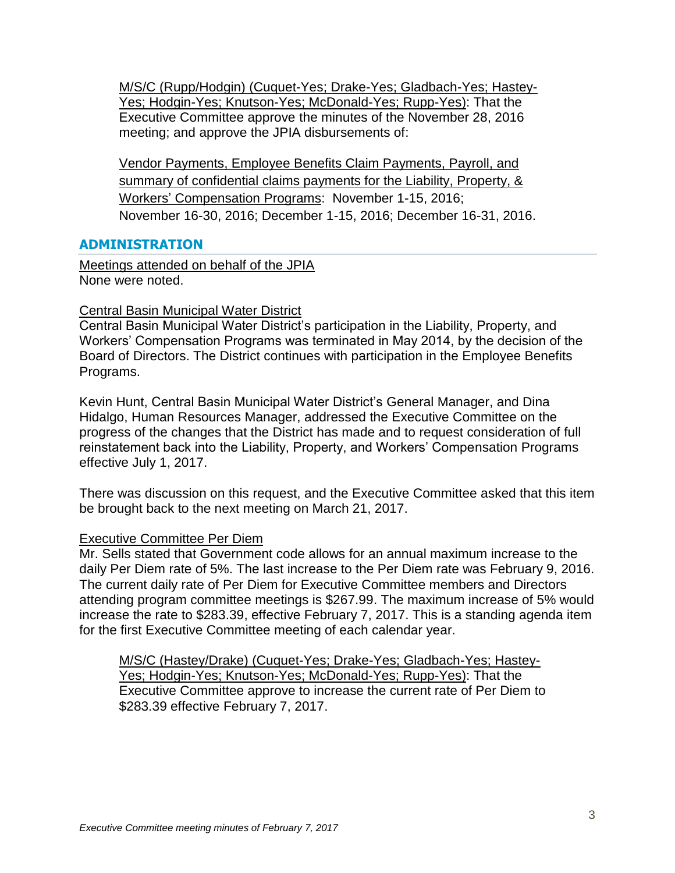M/S/C (Rupp/Hodgin) (Cuquet-Yes; Drake-Yes; Gladbach-Yes; Hastey-Yes; Hodgin-Yes; Knutson-Yes; McDonald-Yes; Rupp-Yes): That the Executive Committee approve the minutes of the November 28, 2016 meeting; and approve the JPIA disbursements of:

Vendor Payments, Employee Benefits Claim Payments, Payroll, and summary of confidential claims payments for the Liability, Property, & Workers' Compensation Programs: November 1-15, 2016; November 16-30, 2016; December 1-15, 2016; December 16-31, 2016.

## **ADMINISTRATION**

Meetings attended on behalf of the JPIA None were noted.

## Central Basin Municipal Water District

Central Basin Municipal Water District's participation in the Liability, Property, and Workers' Compensation Programs was terminated in May 2014, by the decision of the Board of Directors. The District continues with participation in the Employee Benefits Programs.

Kevin Hunt, Central Basin Municipal Water District's General Manager, and Dina Hidalgo, Human Resources Manager, addressed the Executive Committee on the progress of the changes that the District has made and to request consideration of full reinstatement back into the Liability, Property, and Workers' Compensation Programs effective July 1, 2017.

There was discussion on this request, and the Executive Committee asked that this item be brought back to the next meeting on March 21, 2017.

## Executive Committee Per Diem

Mr. Sells stated that Government code allows for an annual maximum increase to the daily Per Diem rate of 5%. The last increase to the Per Diem rate was February 9, 2016. The current daily rate of Per Diem for Executive Committee members and Directors attending program committee meetings is \$267.99. The maximum increase of 5% would increase the rate to \$283.39, effective February 7, 2017. This is a standing agenda item for the first Executive Committee meeting of each calendar year.

M/S/C (Hastey/Drake) (Cuquet-Yes; Drake-Yes; Gladbach-Yes; Hastey-Yes; Hodgin-Yes; Knutson-Yes; McDonald-Yes; Rupp-Yes): That the Executive Committee approve to increase the current rate of Per Diem to \$283.39 effective February 7, 2017.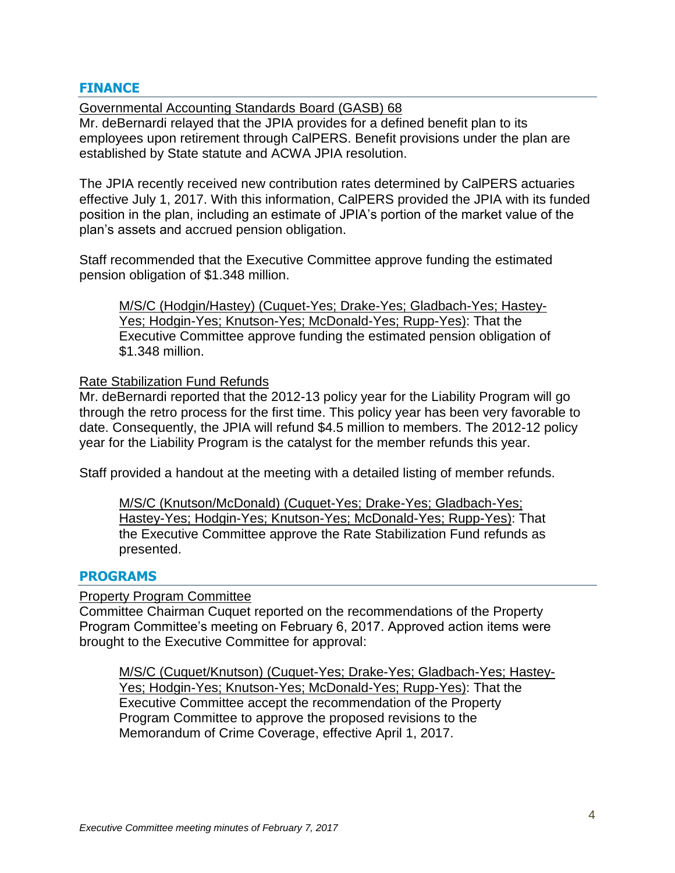## **FINANCE**

Governmental Accounting Standards Board (GASB) 68 Mr. deBernardi relayed that the JPIA provides for a defined benefit plan to its employees upon retirement through CalPERS. Benefit provisions under the plan are established by State statute and ACWA JPIA resolution.

The JPIA recently received new contribution rates determined by CalPERS actuaries effective July 1, 2017. With this information, CalPERS provided the JPIA with its funded position in the plan, including an estimate of JPIA's portion of the market value of the plan's assets and accrued pension obligation.

Staff recommended that the Executive Committee approve funding the estimated pension obligation of \$1.348 million.

M/S/C (Hodgin/Hastey) (Cuquet-Yes; Drake-Yes; Gladbach-Yes; Hastey-Yes; Hodgin-Yes; Knutson-Yes; McDonald-Yes; Rupp-Yes): That the Executive Committee approve funding the estimated pension obligation of \$1.348 million.

#### Rate Stabilization Fund Refunds

Mr. deBernardi reported that the 2012-13 policy year for the Liability Program will go through the retro process for the first time. This policy year has been very favorable to date. Consequently, the JPIA will refund \$4.5 million to members. The 2012-12 policy year for the Liability Program is the catalyst for the member refunds this year.

Staff provided a handout at the meeting with a detailed listing of member refunds.

M/S/C (Knutson/McDonald) (Cuquet-Yes; Drake-Yes; Gladbach-Yes; Hastey-Yes; Hodgin-Yes; Knutson-Yes; McDonald-Yes; Rupp-Yes): That the Executive Committee approve the Rate Stabilization Fund refunds as presented.

#### **PROGRAMS**

#### Property Program Committee

Committee Chairman Cuquet reported on the recommendations of the Property Program Committee's meeting on February 6, 2017. Approved action items were brought to the Executive Committee for approval:

M/S/C (Cuquet/Knutson) (Cuquet-Yes; Drake-Yes; Gladbach-Yes; Hastey-Yes; Hodgin-Yes; Knutson-Yes; McDonald-Yes; Rupp-Yes): That the Executive Committee accept the recommendation of the Property Program Committee to approve the proposed revisions to the Memorandum of Crime Coverage, effective April 1, 2017.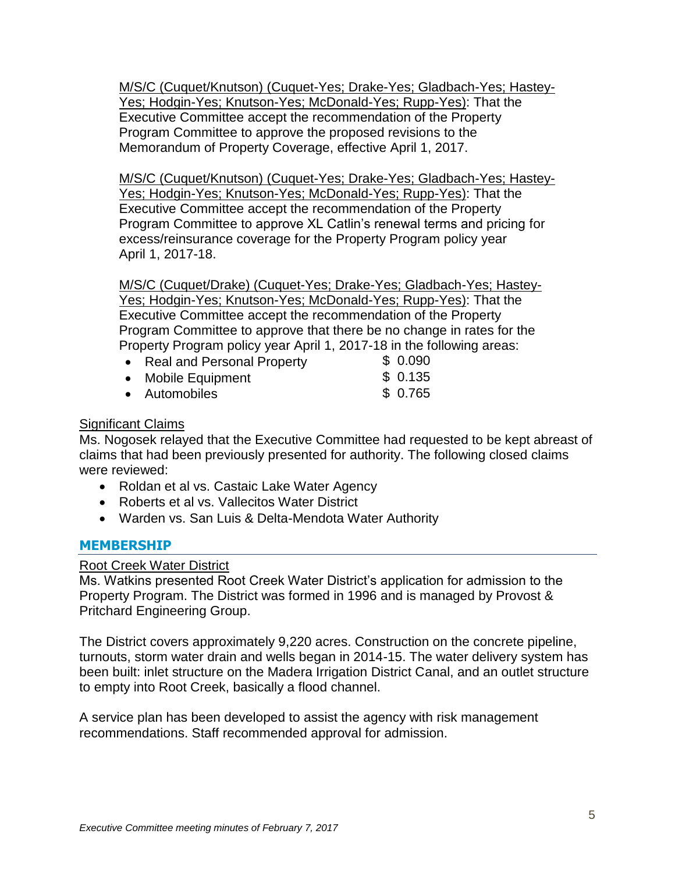M/S/C (Cuquet/Knutson) (Cuquet-Yes; Drake-Yes; Gladbach-Yes; Hastey-Yes; Hodgin-Yes; Knutson-Yes; McDonald-Yes; Rupp-Yes): That the Executive Committee accept the recommendation of the Property Program Committee to approve the proposed revisions to the Memorandum of Property Coverage, effective April 1, 2017.

M/S/C (Cuquet/Knutson) (Cuquet-Yes; Drake-Yes; Gladbach-Yes; Hastey-Yes; Hodgin-Yes; Knutson-Yes; McDonald-Yes; Rupp-Yes): That the Executive Committee accept the recommendation of the Property Program Committee to approve XL Catlin's renewal terms and pricing for excess/reinsurance coverage for the Property Program policy year April 1, 2017-18.

M/S/C (Cuquet/Drake) (Cuquet-Yes; Drake-Yes; Gladbach-Yes; Hastey-Yes; Hodgin-Yes; Knutson-Yes; McDonald-Yes; Rupp-Yes): That the Executive Committee accept the recommendation of the Property Program Committee to approve that there be no change in rates for the Property Program policy year April 1, 2017-18 in the following areas:

| • Real and Personal Property | \$0.090 |
|------------------------------|---------|
| • Mobile Equipment           | \$0.135 |
| • Automobiles                | \$0.765 |

## Significant Claims

Ms. Nogosek relayed that the Executive Committee had requested to be kept abreast of claims that had been previously presented for authority. The following closed claims were reviewed:

- Roldan et al vs. Castaic Lake Water Agency
- Roberts et al vs. Vallecitos Water District
- Warden vs. San Luis & Delta-Mendota Water Authority

## **MEMBERSHIP**

Root Creek Water District

Ms. Watkins presented Root Creek Water District's application for admission to the Property Program. The District was formed in 1996 and is managed by Provost & Pritchard Engineering Group.

The District covers approximately 9,220 acres. Construction on the concrete pipeline, turnouts, storm water drain and wells began in 2014-15. The water delivery system has been built: inlet structure on the Madera Irrigation District Canal, and an outlet structure to empty into Root Creek, basically a flood channel.

A service plan has been developed to assist the agency with risk management recommendations. Staff recommended approval for admission.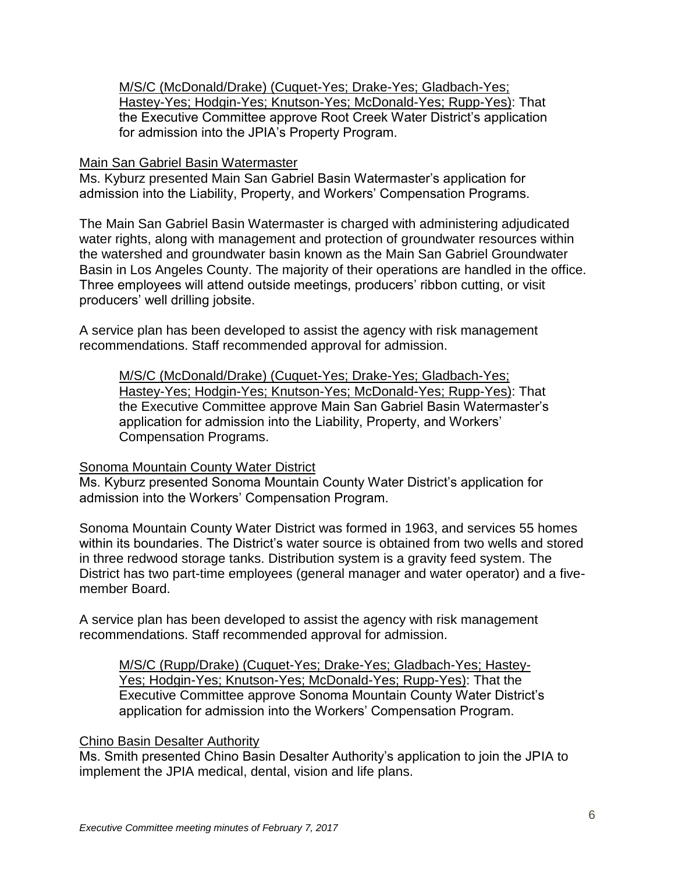M/S/C (McDonald/Drake) (Cuquet-Yes; Drake-Yes; Gladbach-Yes; Hastey-Yes; Hodgin-Yes; Knutson-Yes; McDonald-Yes; Rupp-Yes): That the Executive Committee approve Root Creek Water District's application for admission into the JPIA's Property Program.

#### Main San Gabriel Basin Watermaster

Ms. Kyburz presented Main San Gabriel Basin Watermaster's application for admission into the Liability, Property, and Workers' Compensation Programs.

The Main San Gabriel Basin Watermaster is charged with administering adjudicated water rights, along with management and protection of groundwater resources within the watershed and groundwater basin known as the Main San Gabriel Groundwater Basin in Los Angeles County. The majority of their operations are handled in the office. Three employees will attend outside meetings, producers' ribbon cutting, or visit producers' well drilling jobsite.

A service plan has been developed to assist the agency with risk management recommendations. Staff recommended approval for admission.

M/S/C (McDonald/Drake) (Cuquet-Yes; Drake-Yes; Gladbach-Yes; Hastey-Yes; Hodgin-Yes; Knutson-Yes; McDonald-Yes; Rupp-Yes): That the Executive Committee approve Main San Gabriel Basin Watermaster's application for admission into the Liability, Property, and Workers' Compensation Programs.

## Sonoma Mountain County Water District

Ms. Kyburz presented Sonoma Mountain County Water District's application for admission into the Workers' Compensation Program.

Sonoma Mountain County Water District was formed in 1963, and services 55 homes within its boundaries. The District's water source is obtained from two wells and stored in three redwood storage tanks. Distribution system is a gravity feed system. The District has two part-time employees (general manager and water operator) and a fivemember Board.

A service plan has been developed to assist the agency with risk management recommendations. Staff recommended approval for admission.

M/S/C (Rupp/Drake) (Cuquet-Yes; Drake-Yes; Gladbach-Yes; Hastey-Yes; Hodgin-Yes; Knutson-Yes; McDonald-Yes; Rupp-Yes): That the Executive Committee approve Sonoma Mountain County Water District's application for admission into the Workers' Compensation Program.

## Chino Basin Desalter Authority

Ms. Smith presented Chino Basin Desalter Authority's application to join the JPIA to implement the JPIA medical, dental, vision and life plans.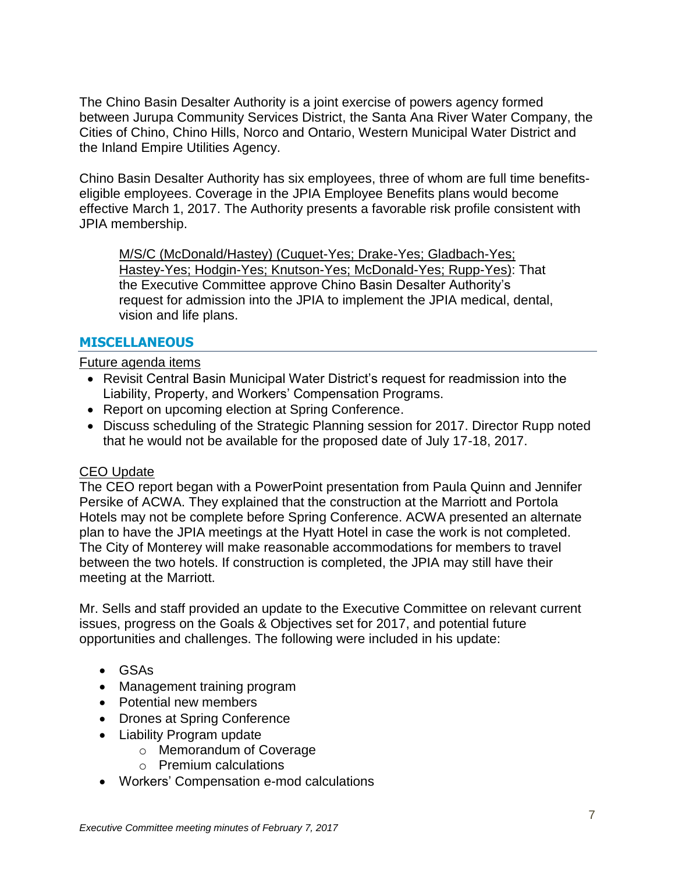The Chino Basin Desalter Authority is a joint exercise of powers agency formed between Jurupa Community Services District, the Santa Ana River Water Company, the Cities of Chino, Chino Hills, Norco and Ontario, Western Municipal Water District and the Inland Empire Utilities Agency.

Chino Basin Desalter Authority has six employees, three of whom are full time benefitseligible employees. Coverage in the JPIA Employee Benefits plans would become effective March 1, 2017. The Authority presents a favorable risk profile consistent with JPIA membership.

M/S/C (McDonald/Hastey) (Cuquet-Yes; Drake-Yes; Gladbach-Yes; Hastey-Yes; Hodgin-Yes; Knutson-Yes; McDonald-Yes; Rupp-Yes): That the Executive Committee approve Chino Basin Desalter Authority's request for admission into the JPIA to implement the JPIA medical, dental, vision and life plans.

# **MISCELLANEOUS**

Future agenda items

- Revisit Central Basin Municipal Water District's request for readmission into the Liability, Property, and Workers' Compensation Programs.
- Report on upcoming election at Spring Conference.
- Discuss scheduling of the Strategic Planning session for 2017. Director Rupp noted that he would not be available for the proposed date of July 17-18, 2017.

# CEO Update

The CEO report began with a PowerPoint presentation from Paula Quinn and Jennifer Persike of ACWA. They explained that the construction at the Marriott and Portola Hotels may not be complete before Spring Conference. ACWA presented an alternate plan to have the JPIA meetings at the Hyatt Hotel in case the work is not completed. The City of Monterey will make reasonable accommodations for members to travel between the two hotels. If construction is completed, the JPIA may still have their meeting at the Marriott.

Mr. Sells and staff provided an update to the Executive Committee on relevant current issues, progress on the Goals & Objectives set for 2017, and potential future opportunities and challenges. The following were included in his update:

- GSAs
- Management training program
- Potential new members
- Drones at Spring Conference
- Liability Program update
	- o Memorandum of Coverage
	- o Premium calculations
- Workers' Compensation e-mod calculations